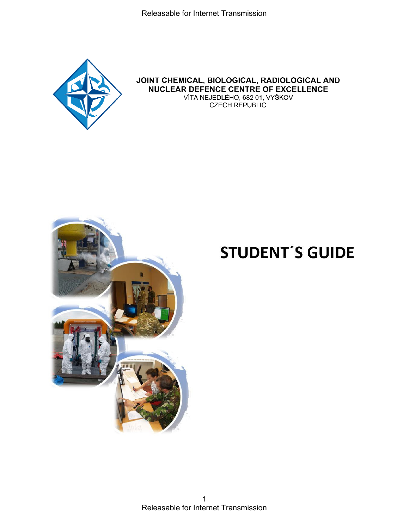

#### JOINT CHEMICAL, BIOLOGICAL, RADIOLOGICAL AND **NUCLEAR DEFENCE CENTRE OF EXCELLENCE** VÍTA NEJEDLÉHO, 682 01, VYŠKOV **CZECH REPUBLIC**



# **STUDENT'S GUIDE**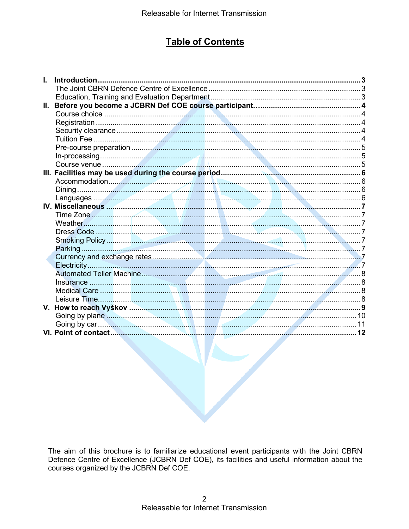### **Table of Contents**

|     | Introduction |  |
|-----|--------------|--|
|     |              |  |
|     |              |  |
| II. |              |  |
|     |              |  |
|     |              |  |
|     |              |  |
|     |              |  |
|     |              |  |
|     |              |  |
|     |              |  |
|     |              |  |
|     |              |  |
|     |              |  |
|     |              |  |
|     |              |  |
|     |              |  |
|     |              |  |
|     |              |  |
|     |              |  |
|     |              |  |
|     |              |  |
|     |              |  |
|     |              |  |
|     |              |  |
|     |              |  |
|     |              |  |
|     |              |  |
|     |              |  |
|     |              |  |
|     |              |  |

The aim of this brochure is to familiarize educational event participants with the Joint CBRN Defence Centre of Excellence (JCBRN Def COE), its facilities and useful information about the courses organized by the JCBRN Def COE.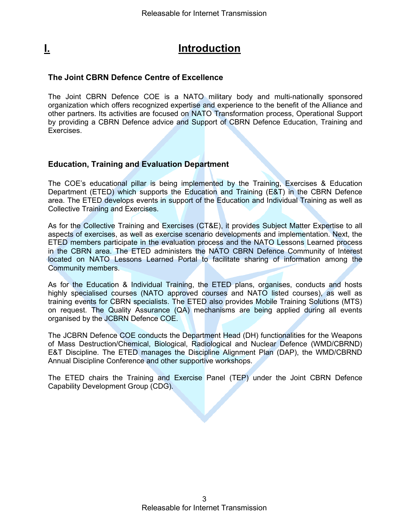# <span id="page-2-0"></span>**I. Introduction**

#### <span id="page-2-1"></span>**The Joint CBRN Defence Centre of Excellence**

The Joint CBRN Defence COE is a NATO military body and multi-nationally sponsored organization which offers recognized expertise and experience to the benefit of the Alliance and other partners. Its activities are focused on NATO Transformation process, Operational Support by providing a CBRN Defence advice and Support of CBRN Defence Education, Training and Exercises.

#### <span id="page-2-2"></span>**Education, Training and Evaluation Department**

The COE's educational pillar is being implemented by the Training, Exercises & Education Department (ETED) which supports the Education and Training (E&T) in the CBRN Defence area. The ETED develops events in support of the Education and Individual Training as well as Collective Training and Exercises.

As for the Collective Training and Exercises (CT&E), it provides Subject Matter Expertise to all aspects of exercises, as well as exercise scenario developments and implementation. Next, the ETED members participate in the evaluation process and the NATO Lessons Learned process in the CBRN area. The ETED administers the NATO CBRN Defence Community of Interest located on NATO Lessons Learned Portal to facilitate sharing of information among the Community members.

As for the Education & Individual Training, the ETED plans, organises, conducts and hosts highly specialised courses (NATO approved courses and NATO listed courses), as well as training events for CBRN specialists. The ETED also provides Mobile Training Solutions (MTS) on request. The Quality Assurance (QA) mechanisms are being applied during all events organised by the JCBRN Defence COE.

The JCBRN Defence COE conducts the Department Head (DH) functionalities for the Weapons of Mass Destruction/Chemical, Biological, Radiological and Nuclear Defence (WMD/CBRND) E&T Discipline. The ETED manages the Discipline Alignment Plan (DAP), the WMD/CBRND Annual Discipline Conference and other supportive workshops.

The ETED chairs the Training and Exercise Panel (TEP) under the Joint CBRN Defence Capability Development Group (CDG).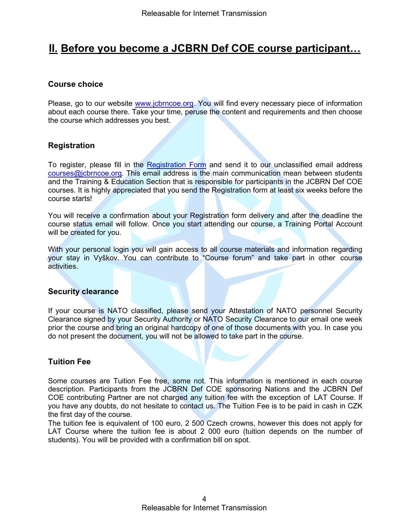### <span id="page-3-0"></span>**II. Before you become a JCBRN Def COE course participant…**

#### <span id="page-3-1"></span>**Course choice**

Please, go to our website [www.jcbrncoe.org.](https://www.jcbrncoe.org/index.php/courses-2020) You will find every necessary piece of information about each course there. Take your time, peruse the content and requirements and then choose the course which addresses you best.

#### <span id="page-3-2"></span>**Registration**

To register, please fill in the [Registration Form](https://forms.office.com/Pages/ResponsePage.aspx?id=wUQUoh_q1UWAI5WS0KuJGHJE8WTLZDJIvrqB4IEmukVUQVozMVBSWVpLRExaTEE5V1cyN1pQU0M0Ty4u) and send it to our unclassified email address [courses@jcbrncoe.org.](mailto:courses@jcbrncoe.org) This email address is the main communication mean between students and the Training & Education Section that is responsible for participants in the JCBRN Def COE courses. It is highly appreciated that you send the Registration form at least six weeks before the course starts!

You will receive a confirmation about your Registration form delivery and after the deadline the course status email will follow. Once you start attending our course, a Training Portal Account will be created for you.

With your personal login you will gain access to all course materials and information regarding your stay in Vyškov. You can contribute to "Course forum" and take part in other course activities.

#### <span id="page-3-3"></span>**Security clearance**

If your course is NATO classified, please send your Attestation of NATO personnel Security Clearance signed by your Security Authority or NATO Security Clearance to our email one week prior the course and bring an original hardcopy of one of those documents with you. In case you do not present the document, you will not be allowed to take part in the course.

#### <span id="page-3-4"></span>**Tuition Fee**

Some courses are Tuition Fee free, some not. This information is mentioned in each course description. Participants from the JCBRN Def COE sponsoring Nations and the JCBRN Def COE contributing Partner are not charged any tuition fee with the exception of LAT Course. If you have any doubts, do not hesitate to contact us. The Tuition Fee is to be paid in cash in CZK the first day of the course.

The tuition fee is equivalent of 100 euro, 2 500 Czech crowns, however this does not apply for LAT Course where the tuition fee is about 2 000 euro (tuition depends on the number of students). You will be provided with a confirmation bill on spot.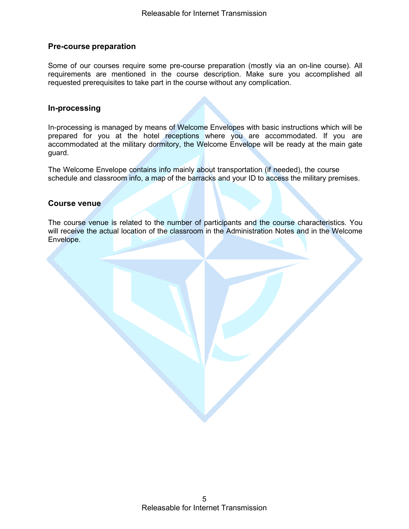#### <span id="page-4-0"></span>**Pre-course preparation**

Some of our courses require some pre-course preparation (mostly via an on-line course). All requirements are mentioned in the course description. Make sure you accomplished all requested prerequisites to take part in the course without any complication.

#### <span id="page-4-1"></span>**In-processing**

In-processing is managed by means of Welcome Envelopes with basic instructions which will be prepared for you at the hotel receptions where you are accommodated. If you are accommodated at the military dormitory, the Welcome Envelope will be ready at the main gate guard.

The Welcome Envelope contains info mainly about transportation (if needed), the course schedule and classroom info, a map of the barracks and your ID to access the military premises.

#### <span id="page-4-2"></span>**Course venue**

The course venue is related to the number of participants and the course characteristics. You will receive the actual location of the classroom in the Administration Notes and in the Welcome Envelope.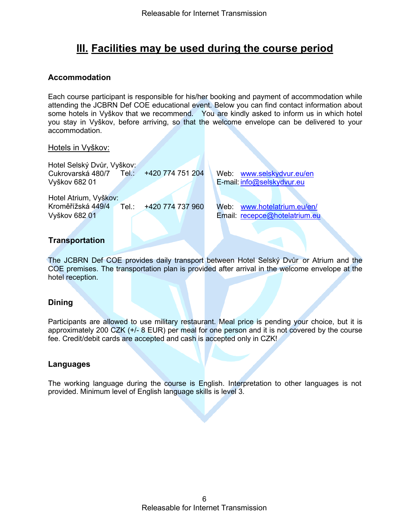### <span id="page-5-0"></span>**III. Facilities may be used during the course period**

#### <span id="page-5-1"></span>**Accommodation**

Each course participant is responsible for his/her booking and payment of accommodation while attending the JCBRN Def COE educational event. Below you can find contact information about some hotels in Vyškov that we recommend. You are kindly asked to inform us in which hotel you stay in Vyškov, before arriving, so that the welcome envelope can be delivered to your accommodation.

#### Hotels in Vyškov:

Hotel Selský Dvůr, Vyškov: Cukrovarská 480/7 Tel.: +420 774 751 204 Vyškov 682 01

Hotel Atrium, Vyškov: Kroměřížská 449/4 Tel.: +420 774 737 960 Web: [www.hotelatrium.eu/en/](http://www.hotelatrium.eu/en/)<br>Vyškov 682 01 Christian Lucence Email: recepce@hotelatrium.eu

Web: [www.selskydvur.eu/en](https://www.selskydvur.eu/en) E-mail: [info@selskydvur.eu](mailto:info@selskydvur.eu)

Email: [recepce@hotelatrium.eu](mailto:recepce@hotelatrium.eu)

#### **Transportation**

The JCBRN Def COE provides daily transport between Hotel Selský Dvůr or Atrium and the COE premises. The transportation plan is provided after arrival in the welcome envelope at the hotel reception.

#### <span id="page-5-2"></span>**Dining**

Participants are allowed to use military restaurant. Meal price is pending your choice, but it is approximately 200 CZK (+/- 8 EUR) per meal for one person and it is not covered by the course fee. Credit/debit cards are accepted and cash is accepted only in CZK!

#### <span id="page-5-3"></span>**Languages**

The working language during the course is English. Interpretation to other languages is not provided. Minimum level of English language skills is level 3.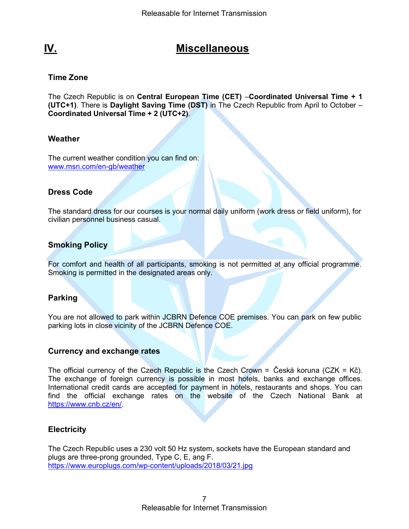### <span id="page-6-0"></span>**IV. Miscellaneous**

#### <span id="page-6-1"></span>**Time Zone**

The Czech Republic is on **Central European Time (CET)** –**Coordinated Universal Time + 1 (UTC+1)**. There is **Daylight Saving Time (DST)** in The Czech Republic from April to October – **Coordinated Universal Time + 2 (UTC+2)**.

#### <span id="page-6-2"></span>**Weather**

The current weather condition you can find on: [www.msn.com/en-gb/weather](https://www.msn.com/en-gb/weather)

#### <span id="page-6-3"></span>**Dress Code**

The standard dress for our courses is your normal daily uniform (work dress or field uniform), for civilian personnel business casual.

#### <span id="page-6-4"></span>**Smoking Policy**

For comfort and health of all participants, smoking is not permitted at any official programme. Smoking is permitted in the designated areas only.

#### <span id="page-6-5"></span>**Parking**

You are not allowed to park within JCBRN Defence COE premises. You can park on few public parking lots in close vicinity of the JCBRN Defence COE.

#### <span id="page-6-6"></span>**Currency and exchange rates**

The official currency of the Czech Republic is the Czech Crown = Česká koruna (CZK = Kč). The exchange of foreign currency is possible in most hotels, banks and exchange offices. International credit cards are accepted for payment in hotels, restaurants and shops. You can find the official exchange rates on the website of the Czech National Bank at [https://www.cnb.cz/en/.](https://www.cnb.cz/en/)

#### <span id="page-6-7"></span>**Electricity**

The Czech Republic uses a 230 volt 50 Hz system, sockets have the European standard and plugs are three-prong grounded, Type C, E, ang F. https://www.europlugs.com/wp[-content/uploads/2018/03/21.jpg](https://www.europlugs.com/wp-content/uploads/2018/03/21.jpg)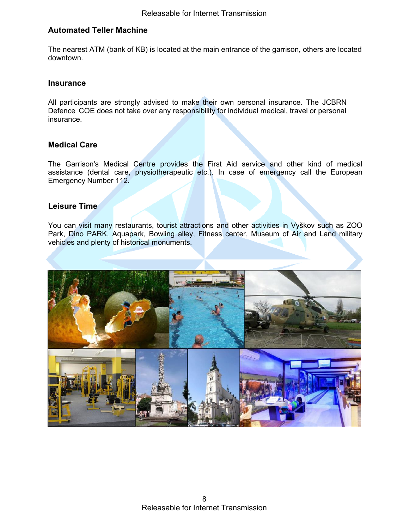#### <span id="page-7-0"></span>**Automated Teller Machine**

The nearest ATM (bank of KB) is located at the main entrance of the garrison, others are located downtown.

#### <span id="page-7-1"></span>**Insurance**

All participants are strongly advised to make their own personal insurance. The JCBRN Defence COE does not take over any responsibility for individual medical, travel or personal insurance.

#### <span id="page-7-2"></span>**Medical Care**

The Garrison's Medical Centre provides the First Aid service and other kind of medical assistance (dental care, physiotherapeutic etc.). In case of emergency call the European Emergency Number 112.

#### <span id="page-7-3"></span>**Leisure Time**

You can visit many restaurants, tourist attractions and other activities in Vyškov such as ZOO Park, Dino PARK, Aquapark, Bowling alley, Fitness center, Museum of Air and Land military vehicles and plenty of historical monuments.

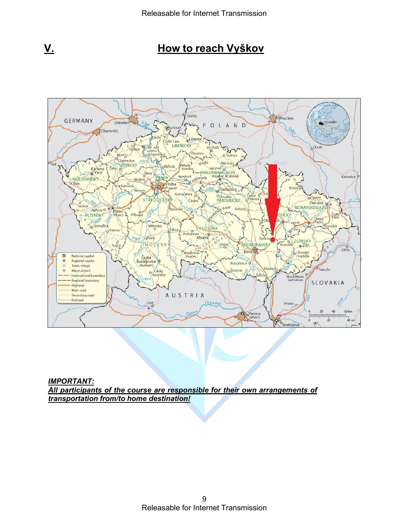<span id="page-8-0"></span>



*IMPORTANT: All participants of the course are responsible for their own arrangements of transportation from/to home destination!*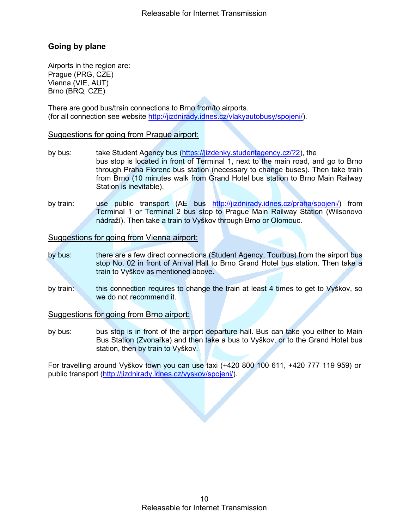### <span id="page-9-0"></span>**Going by plane**

Airports in the region are: Prague (PRG, CZE) Vienna (VIE, AUT) Brno (BRQ, CZE)

There are good bus/train connections to Brno from/to airports. (for all connection see website [http://jizdnirady.idnes.cz/vlakyautobusy/spojeni/\)](http://jizdnirady.idnes.cz/vlakyautobusy/spojeni/).

#### Suggestions for going from Prague airport:

- by bus: take Student Agency bus [\(https://jizdenky.studentagency.cz/?2\)](https://jizdenky.studentagency.cz/?2), the bus stop is located in front of Terminal 1, next to the main road, and go to Brno through Praha Florenc bus station (necessary to change buses). Then take train from Brno (10 minutes walk from Grand Hotel bus station to Brno Main Railway Station is inevitable).
- by train: use public transport (AE bus [http://jizdnirady.idnes.cz/praha/spojeni/\)](http://jizdnirady.idnes.cz/praha/spojeni/) from Terminal 1 or Terminal 2 bus stop to Prague Main Railway Station (Wilsonovo nádraží). Then take a train to Vyškov through Brno or Olomouc.

Suggestions for going from Vienna airport:

- by bus: there are a few direct connections (Student Agency, Tourbus) from the airport bus stop No. 02 in front of Arrival Hall to Brno Grand Hotel bus station. Then take a train to Vyškov as mentioned above.
- by train: this connection requires to change the train at least 4 times to get to Vyškov, so we do not recommend it.

Suggestions for going from Brno airport:

by bus: bus stop is in front of the airport departure hall. Bus can take you either to Main Bus Station (Zvonařka) and then take a bus to Vyškov, or to the Grand Hotel bus station, then by train to Vyškov.

For travelling around Vyškov town you can use taxi (+420 800 100 611, +420 777 119 959) or public transport [\(http://jizdnirady.idnes.cz/vyskov/spojeni/\)](http://jizdnirady.idnes.cz/vyskov/spojeni/).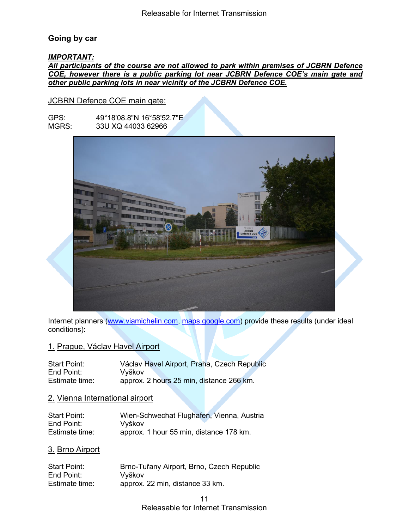#### <span id="page-10-0"></span>**Going by car**

#### *IMPORTANT:*

#### *All participants of the course are not allowed to park within premises of JCBRN Defence COE, however there is a public parking lot near JCBRN Defence COE's main gate and other public parking lots in near vicinity of the JCBRN Defence COE.*

#### JCBRN Defence COE main gate:

GPS: 49°18'08.8"N 16°58'52.7"E<br>MGRS: 33U XQ 44033 62966 33U XQ 44033 62966



Internet planners [\(www.viamichelin.com,](http://www.viamichelin.com/) [maps.google.com\)](http://maps.google.com/) provide these results (under ideal conditions):

#### 1. Prague, Václav Havel Airport

| <b>Start Point:</b> | Václav Havel Airport, Praha, Czech Republic |
|---------------------|---------------------------------------------|
| End Point:          | Vvškov                                      |
| Estimate time:      | approx. 2 hours 25 min, distance 266 km.    |

#### 2. Vienna International airport

| <b>Start Point:</b> | Wien-Schwechat Flughafen, Vienna, Austria |
|---------------------|-------------------------------------------|
| End Point:          | Vyškov                                    |
| Estimate time:      | approx. 1 hour 55 min, distance 178 km.   |

#### 3. Brno Airport

| <b>Start Point:</b> | Brno-Tuřany Airport, Brno, Czech Republic |
|---------------------|-------------------------------------------|
| End Point:          | Vyškov                                    |
| Estimate time:      | approx. 22 min, distance 33 km.           |